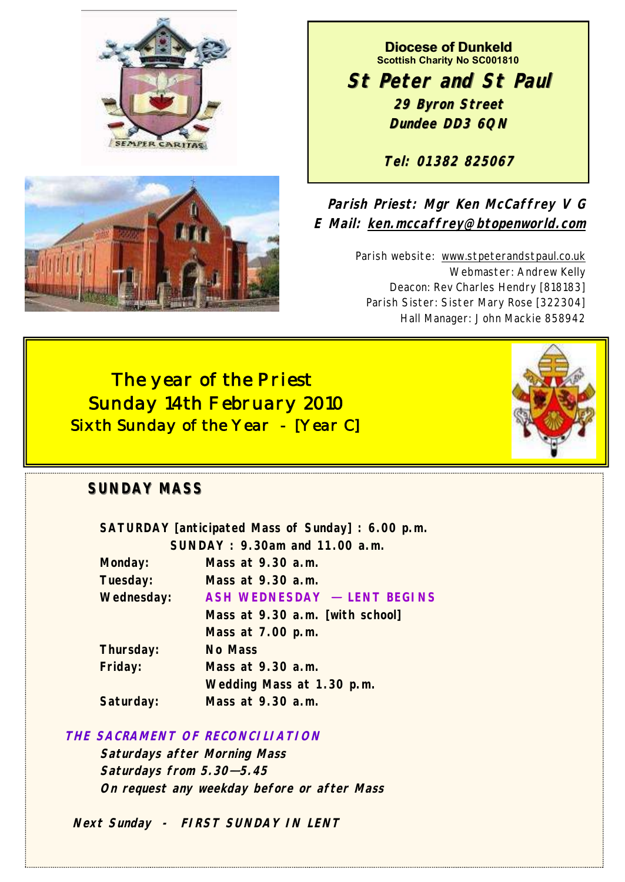



**Diocese of Dunkeld Scottish Charity No SC001810**

**St Peter and St Paul 29 Byron Street Dundee DD3 6QN**

**Tel: 01382 825067**

**Parish Priest: Mgr Ken McCaffrey V G E Mail: ken.mccaffrey@btopenworld.com**

> Parish website: www.stpeterandstpaul.co.uk Webmaster: Andrew Kelly Deacon: Rev Charles Hendry [818183] Parish Sister: Sister Mary Rose [322304] Hall Manager: John Mackie 858942

 *The year of the Priest Sunday 14th February 2010 Sixth Sunday of the Year - [Year C]* 



# **SUNDAY MASS**

| SATURDAY [anticipated Mass of Sunday]: 6.00 p.m. |                                 |
|--------------------------------------------------|---------------------------------|
| SUNDAY: 9.30am and 11.00 a.m.                    |                                 |
| Monday:                                          | Mass at 9.30 a.m.               |
| Tuesday:                                         | Mass at 9.30 a.m.               |
| Wednesday:                                       | ASH WEDNESDAY - LENT BEGINS     |
|                                                  | Mass at 9.30 a.m. [with school] |
|                                                  | Mass at 7.00 p.m.               |
| Thursday:                                        | No Mass                         |
| Friday:                                          | Mass at 9.30 a.m.               |
|                                                  | Wedding Mass at 1.30 p.m.       |
| Saturday:                                        | Mass at 9.30 a.m.               |
|                                                  |                                 |

# **THE SACRAMENT OF RECONCILIATION**

**Saturdays after Morning Mass Saturdays from 5.30—5.45 On request any weekday before or after Mass**

 **Next Sunday - FIRST SUNDAY IN LENT**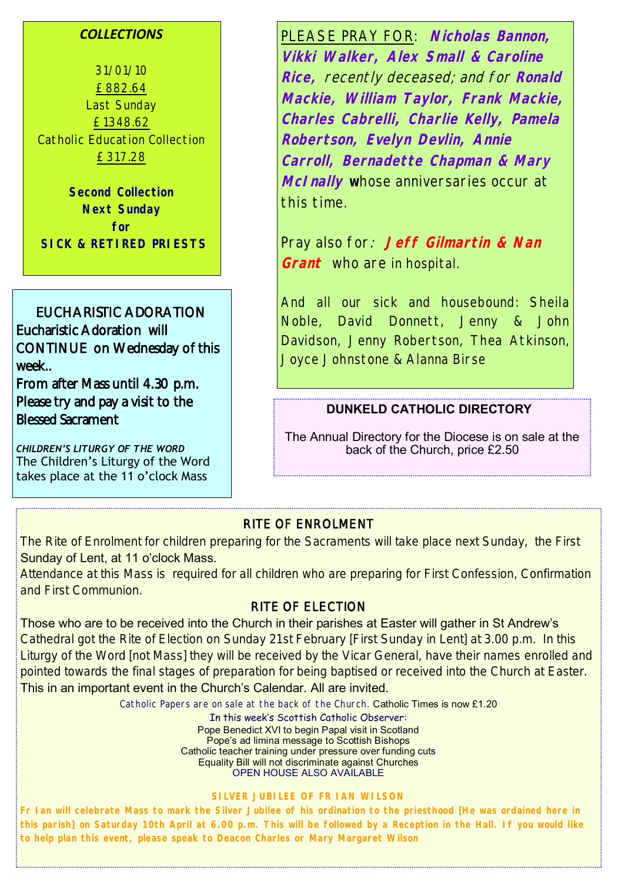### *COLLECTIONS*

31/01/10 £882.64 Last Sunday £1348.62 Catholic Education Collection £317.28

**Second Collection Next Sunday for SICK & RETIRED PRIESTS**

EUCHARISTIC ADORATION Eucharistic Adoration will CONTINUE on Wednesday of this week..

From after Mass until 4.30 p.m. Please try and pay a visit to the Blessed Sacrament

*CHILDREN'S LITURGY OF THE WORD* The Children's Liturgy of the Word takes place at the 11 o'clock Mass

PLEASE PRAY FOR: **Nicholas Bannon, Vikki Walker, Alex Small & Caroline Rice,** recently deceased; and for **Ronald Mackie, William Taylor, Frank Mackie, Charles Cabrelli, Charlie Kelly, Pamela Robertson, Evelyn Devlin, Annie Carroll, Bernadette Chapman & Mary McInally w**hose anniversaries occur at this time.

Pray also for: **Jeff Gilmartin & Nan Grant** who are in hospital.

And all our sick and housebound: Sheila Noble, David Donnett, Jenny & John Davidson, Jenny Robertson, Thea Atkinson, Joyce Johnstone & Alanna Birse

### **DUNKELD CATHOLIC DIRECTORY**

The Annual Directory for the Diocese is on sale at the back of the Church, price £2.50

### RITE OF ENROLMENT

The Rite of Enrolment for children preparing for the Sacraments will take place next Sunday, the First Sunday of Lent, at 11 o'clock Mass.

Attendance at this Mass is required for all children who are preparing for First Confession, Confirmation and First Communion.

# RITE OF ELECTION

Those who are to be received into the Church in their parishes at Easter will gather in St Andrew's

Cathedral got the Rite of Election on Sunday 21st February [First Sunday in Lent] at 3.00 p.m. In this Liturgy of the Word [not Mass] they will be received by the Vicar General, have their names enrolled and pointed towards the final stages of preparation for being baptised or received into the Church at Easter.

## This in an important event in the Church's Calendar. All are invited.

Catholic Papers are on sale at the back of the Church. Catholic Times is now £1.20

In this week's Scottish Catholic Observer: Pope Benedict XVI to begin Papal visit in Scotland Pope's ad limina message to Scottish Bishops Catholic teacher training under pressure over funding cuts Equality Bill will not discriminate against Churches OPEN HOUSE ALSO AVAILABLE

#### **SILVER JUBILEE OF FR IAN WILSON**

**Fr Ian will celebrate Mass to mark the Silver Jubilee of his ordination to the priesthood [He was ordained here in this parish] on Saturday 10th April at 6.00 p.m. This will be followed by a Reception in the Hall. If you would like to help plan this event, please speak to Deacon Charles or Mary Margaret Wilson**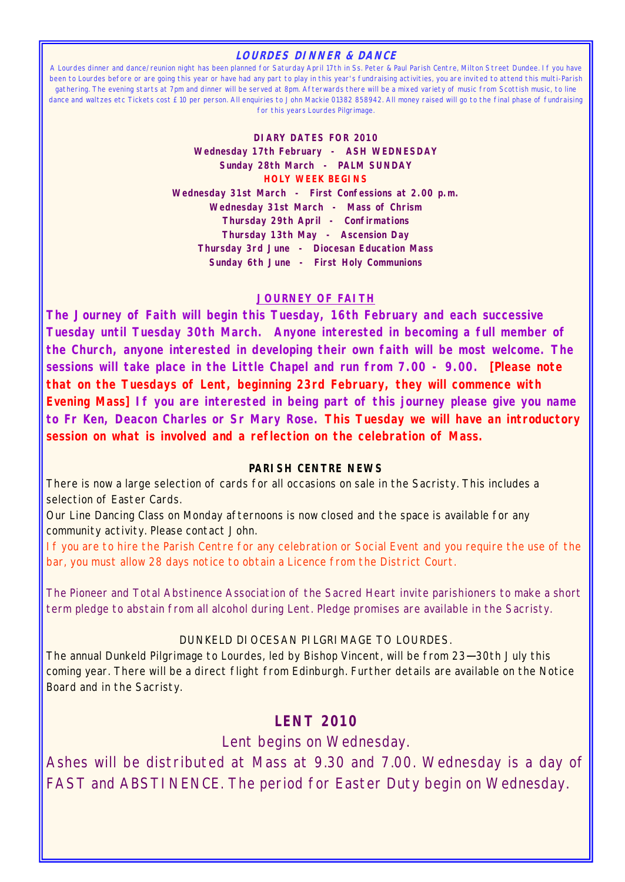#### **LOURDES DINNER & DANCE**

A Lourdes dinner and dance/reunion night has been planned for Saturday April 17th in Ss. Peter & Paul Parish Centre, Milton Street Dundee. If you have been to Lourdes before or are going this year or have had any part to play in this year's fundraising activities, you are invited to attend this multi-Parish gathering. The evening starts at 7pm and dinner will be served at 8pm. Afterwards there will be a mixed variety of music from Scottish music, to line dance and waltzes etc Tickets cost £10 per person. All enquiries to John Mackie 01382 858942. All money raised will go to the final phase of fundraising for this years Lourdes Pilgrimage.

> **DIARY DATES FOR 2010 Wednesday 17th February - ASH WEDNESDAY Sunday 28th March - PALM SUNDAY HOLY WEEK BEGINS Wednesday 31st March - First Confessions at 2.00 p.m. Wednesday 31st March - Mass of Chrism Thursday 29th April - Confirmations Thursday 13th May - Ascension Day Thursday 3rd June - Diocesan Education Mass Sunday 6th June - First Holy Communions**

### **JOURNEY OF FAITH**

**The Journey of Faith will begin this Tuesday, 16th February and each successive Tuesday until Tuesday 30th March. Anyone interested in becoming a full member of the Church, anyone interested in developing their own faith will be most welcome. The sessions will take place in the Little Chapel and run from 7.00 - 9.00. [Please note that on the Tuesdays of Lent, beginning 23rd February, they will commence with Evening Mass] If you are interested in being part of this journey please give you name to Fr Ken, Deacon Charles or Sr Mary Rose. This Tuesday we will have an introductory session on what is involved and a reflection on the celebration of Mass.**

#### **PARISH CENTRE NEWS**

There is now a large selection of cards for all occasions on sale in the Sacristy. This includes a selection of Easter Cards.

Our Line Dancing Class on Monday afternoons is now closed and the space is available for any community activity. Please contact John.

If you are to hire the Parish Centre for any celebration or Social Event and you require the use of the bar, you must allow 28 days notice to obtain a Licence from the District Court.

The Pioneer and Total Abstinence Association of the Sacred Heart invite parishioners to make a short term pledge to abstain from all alcohol during Lent. Pledge promises are available in the Sacristy.

### DUNKELD DIOCESAN PILGRIMAGE TO LOURDES.

The annual Dunkeld Pilgrimage to Lourdes, led by Bishop Vincent, will be from 23—30th July this coming year. There will be a direct flight from Edinburgh. Further details are available on the Notice Board and in the Sacristy.

# **LENT 2010**

Lent begins on Wednesday.

Ashes will be distributed at Mass at 9.30 and 7.00. Wednesday is a day of FAST and ABSTINENCE. The period for Easter Duty begin on Wednesday.